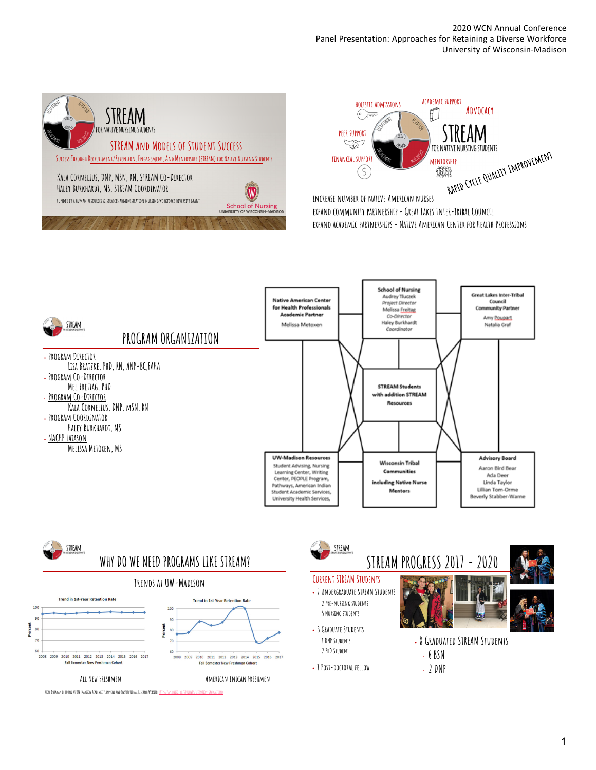2020 WCN Annual Conference Panel Presentation: Approaches for Retaining a Diverse Workforce University of Wisconsin-Madison











#### **Current STREAM Students**

- **7 Undergraduate STREAM Students 2 Pre-nursing students 5 Nursing students**
- **3 Graduate Students 1 DNP Students 2 PhD Student**
- **1 Post-doctoral fellow**



• **8 Graduated STREAM Students** • **6 BSN**  • **2 DNP**

1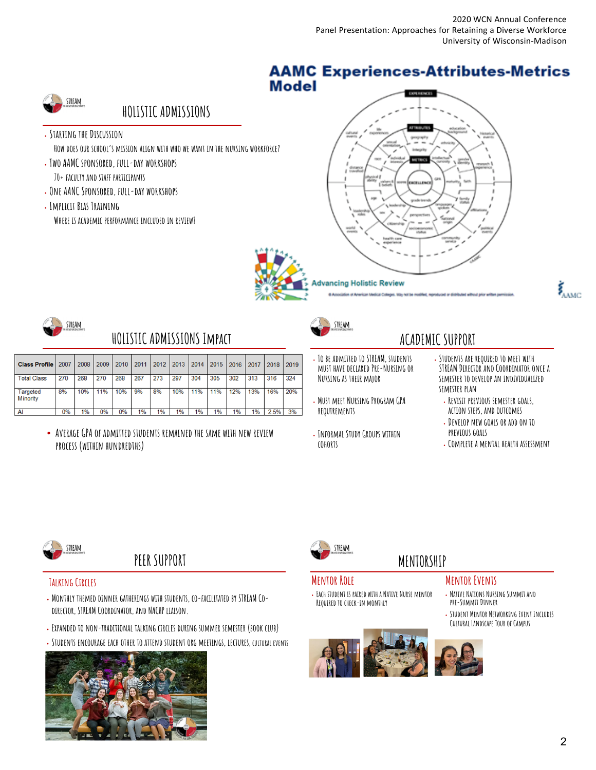### **AAMC Experiences-Attributes-Metrics Model**



# **HOLISTIC ADMISSIONS**

• **Starting the Discussion**

**How does our school's mission align with who we want in the nursing workforce?**

- **Two AAMC sponsored, full-day workshops 70+ faculty and staff participants**
- **One AANC Sponsored, full-day workshops**
- **Implicit Bias Training**
	- **Where is academic performance included in review?**







### **HOLISTIC ADMISSIONS Impact**

| <b>Class Profile</b>                | 2007 | 2008 | 2009  | 2010 | 2011 | 2012 | 2013  | 2014 | 2015 | 2016 | 2017 | 2018 | 2019 |
|-------------------------------------|------|------|-------|------|------|------|-------|------|------|------|------|------|------|
| <b>Total Class</b>                  | 270  | 268  | 270   | 268  | 267  | 273  | 297   | 304  | 305  | 302  | 313  | 316  | 324  |
| <b>Targeted</b><br><b>M</b> inority | 8%   | 10%  | 11%   | 10%  | 9%   | 8%   | 10%   | 11%  | 11%  | 12%  | 13%  | 16%  | 20%  |
| AI                                  | 0%   | 1%   | $0\%$ | 0%   | 1%   | 1%   | $1\%$ | 1%   | 1%   | 1%   | 1%   | 2.5% | 3%   |

• **Average GPA of admitted students remained the same with new review process (within hundredths)**



STRFAM



- **To be admitted to STREAM, students must have declared Pre-Nursing or Nursing as their major**
- **Must meet Nursing Program GPA requirements**
- **Informal Study Groups within cohorts**

# • **Students are required to meet with**

- **STREAM Director and Coordinator once a semester to develop an individualized semester plan**
- **Revisit previous semester goals, action steps, and outcomes**
- **Develop new goals or add on to previous goals**
- **Complete a mental health assessment**



# **PEER SUPPORT**

### **Talking Circles**

- **Monthly themed dinner gatherings with students, co-facilitated by STREAM Codirector, STREAM Coordinator, and NACHP liaison.**
- **Expanded to non-traditional talking circles during summer semester (book club)**
- **Students encourage each other to attend student org meetings, lectures, cultural events**





### **Mentor Role**

• **Each student is paired with a Native Nurse mentor Required to check-in monthly** 



### **MENTORSHIP Mentor Events**

- **Native Nations Nursing Summit and pre-Summit Dinner**
- **Student Mentor Networking Event Includes Cultural Landscape Tour of Campus**
-